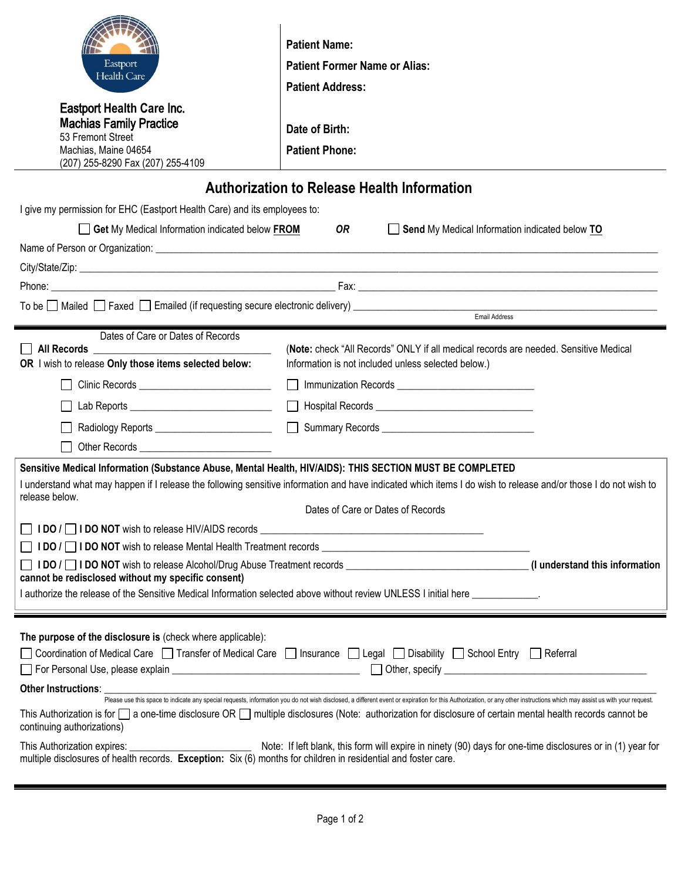| Eastport<br>Health Care<br><b>Eastport Health Care Inc.</b><br><b>Machias Family Practice</b><br>53 Fremont Street<br>Machias, Maine 04654<br>(207) 255-8290 Fax (207) 255-4109                                                                                                                                                                                                                                                                                                                                                                                                                                                  | <b>Patient Name:</b><br><b>Patient Former Name or Alias:</b><br><b>Patient Address:</b><br>Date of Birth:<br><b>Patient Phone:</b>          |  |
|----------------------------------------------------------------------------------------------------------------------------------------------------------------------------------------------------------------------------------------------------------------------------------------------------------------------------------------------------------------------------------------------------------------------------------------------------------------------------------------------------------------------------------------------------------------------------------------------------------------------------------|---------------------------------------------------------------------------------------------------------------------------------------------|--|
| <b>Authorization to Release Health Information</b>                                                                                                                                                                                                                                                                                                                                                                                                                                                                                                                                                                               |                                                                                                                                             |  |
| I give my permission for EHC (Eastport Health Care) and its employees to:                                                                                                                                                                                                                                                                                                                                                                                                                                                                                                                                                        |                                                                                                                                             |  |
| Get My Medical Information indicated below FROM<br>OR.<br>Send My Medical Information indicated below TO                                                                                                                                                                                                                                                                                                                                                                                                                                                                                                                         |                                                                                                                                             |  |
| Name of Person or Organization: <b>All and Server Control of Persons and Server Control of Person</b> or Organization:                                                                                                                                                                                                                                                                                                                                                                                                                                                                                                           |                                                                                                                                             |  |
|                                                                                                                                                                                                                                                                                                                                                                                                                                                                                                                                                                                                                                  |                                                                                                                                             |  |
|                                                                                                                                                                                                                                                                                                                                                                                                                                                                                                                                                                                                                                  |                                                                                                                                             |  |
| Email Address                                                                                                                                                                                                                                                                                                                                                                                                                                                                                                                                                                                                                    |                                                                                                                                             |  |
| Dates of Care or Dates of Records<br>OR I wish to release Only those items selected below:                                                                                                                                                                                                                                                                                                                                                                                                                                                                                                                                       | (Note: check "All Records" ONLY if all medical records are needed. Sensitive Medical<br>Information is not included unless selected below.) |  |
| Clinic Records ______________________________                                                                                                                                                                                                                                                                                                                                                                                                                                                                                                                                                                                    |                                                                                                                                             |  |
|                                                                                                                                                                                                                                                                                                                                                                                                                                                                                                                                                                                                                                  |                                                                                                                                             |  |
| Radiology Reports ___________________________                                                                                                                                                                                                                                                                                                                                                                                                                                                                                                                                                                                    |                                                                                                                                             |  |
|                                                                                                                                                                                                                                                                                                                                                                                                                                                                                                                                                                                                                                  |                                                                                                                                             |  |
| Sensitive Medical Information (Substance Abuse, Mental Health, HIV/AIDS): THIS SECTION MUST BE COMPLETED<br>I understand what may happen if I release the following sensitive information and have indicated which items I do wish to release and/or those I do not wish to<br>release below.<br>Dates of Care or Dates of Records                                                                                                                                                                                                                                                                                               |                                                                                                                                             |  |
|                                                                                                                                                                                                                                                                                                                                                                                                                                                                                                                                                                                                                                  |                                                                                                                                             |  |
| cannot be redisclosed without my specific consent)                                                                                                                                                                                                                                                                                                                                                                                                                                                                                                                                                                               |                                                                                                                                             |  |
| I authorize the release of the Sensitive Medical Information selected above without review UNLESS I initial here                                                                                                                                                                                                                                                                                                                                                                                                                                                                                                                 |                                                                                                                                             |  |
| The purpose of the disclosure is (check where applicable):<br>Coordination of Medical Care □ Transfer of Medical Care □ Insurance □ Legal □ Disability □ School Entry □ Referral<br>Other Instructions:<br>Please use this space to indicate any special requests, information you do not wish disclosed, a different event or expiration for this Authorization, or any other instructions which may assist us with<br>This Authorization is for $\square$ a one-time disclosure OR $\square$ multiple disclosures (Note: authorization for disclosure of certain mental health records cannot be<br>continuing authorizations) |                                                                                                                                             |  |